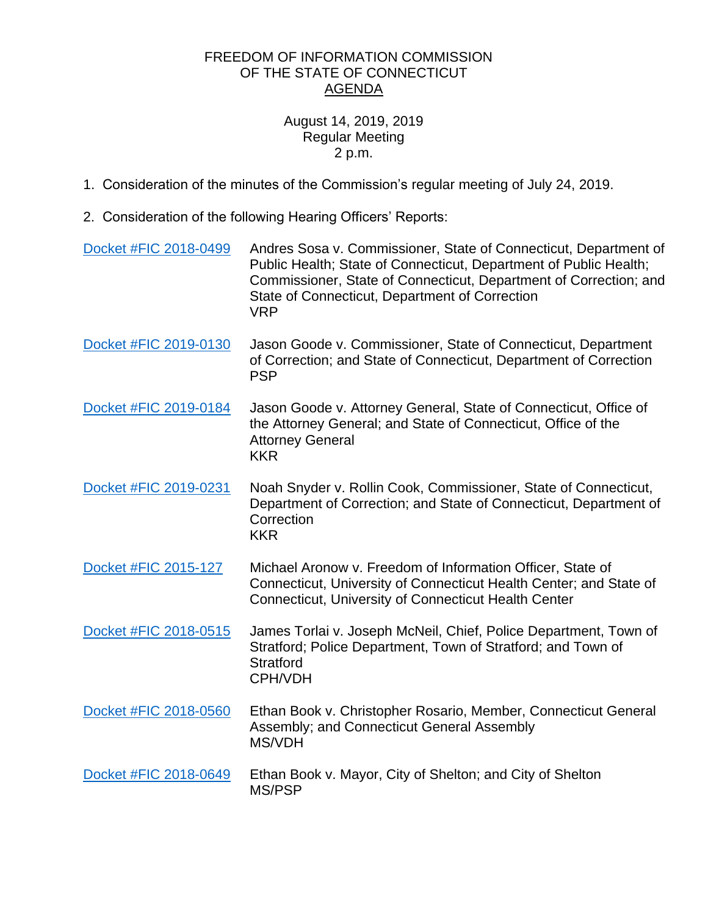## FREEDOM OF INFORMATION COMMISSION OF THE STATE OF CONNECTICUT AGENDA

## August 14, 2019, 2019 Regular Meeting 2 p.m.

- 1. Consideration of the minutes of the Commission's regular meeting of July 24, 2019.
- 2. Consideration of the following Hearing Officers' Reports:

| Docket #FIC 2018-0499 | Andres Sosa v. Commissioner, State of Connecticut, Department of<br>Public Health; State of Connecticut, Department of Public Health;<br>Commissioner, State of Connecticut, Department of Correction; and<br>State of Connecticut, Department of Correction<br><b>VRP</b> |
|-----------------------|----------------------------------------------------------------------------------------------------------------------------------------------------------------------------------------------------------------------------------------------------------------------------|
| Docket #FIC 2019-0130 | Jason Goode v. Commissioner, State of Connecticut, Department<br>of Correction; and State of Connecticut, Department of Correction<br><b>PSP</b>                                                                                                                           |
| Docket #FIC 2019-0184 | Jason Goode v. Attorney General, State of Connecticut, Office of<br>the Attorney General; and State of Connecticut, Office of the<br><b>Attorney General</b><br><b>KKR</b>                                                                                                 |
| Docket #FIC 2019-0231 | Noah Snyder v. Rollin Cook, Commissioner, State of Connecticut,<br>Department of Correction; and State of Connecticut, Department of<br>Correction<br><b>KKR</b>                                                                                                           |
| Docket #FIC 2015-127  | Michael Aronow v. Freedom of Information Officer, State of<br>Connecticut, University of Connecticut Health Center; and State of<br><b>Connecticut, University of Connecticut Health Center</b>                                                                            |
| Docket #FIC 2018-0515 | James Torlai v. Joseph McNeil, Chief, Police Department, Town of<br>Stratford; Police Department, Town of Stratford; and Town of<br><b>Stratford</b><br>CPH/VDH                                                                                                            |
| Docket #FIC 2018-0560 | Ethan Book v. Christopher Rosario, Member, Connecticut General<br>Assembly; and Connecticut General Assembly<br><b>MS/VDH</b>                                                                                                                                              |
| Docket #FIC 2018-0649 | Ethan Book v. Mayor, City of Shelton; and City of Shelton<br>MS/PSP                                                                                                                                                                                                        |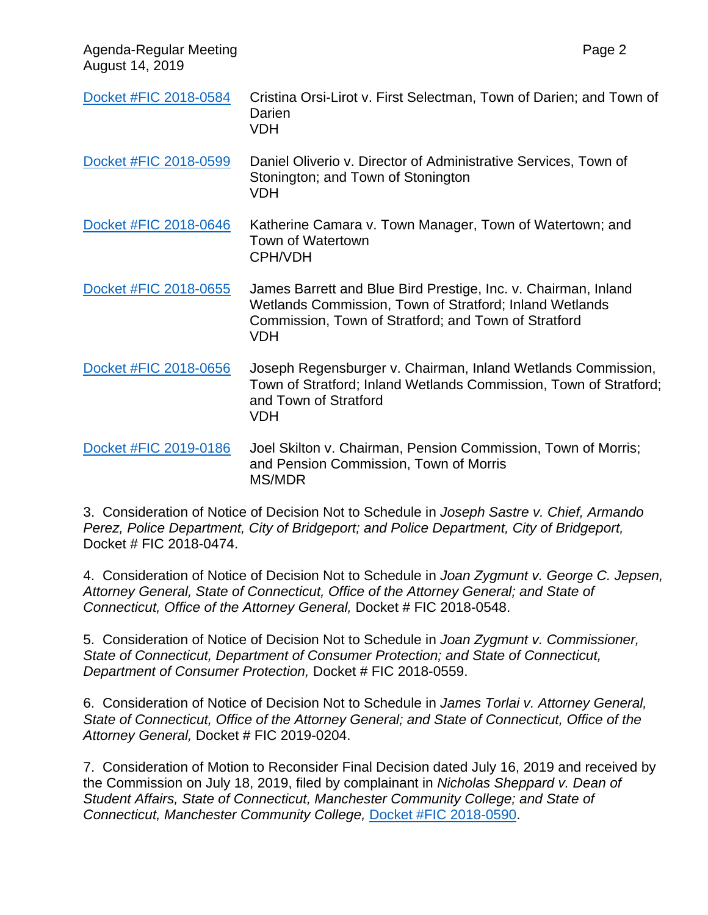Agenda-Regular Meeting Page 2 August 14, 2019

| Docket #FIC 2018-0584 | Cristina Orsi-Lirot v. First Selectman, Town of Darien; and Town of<br>Darien<br><b>VDH</b>                                                                                                     |
|-----------------------|-------------------------------------------------------------------------------------------------------------------------------------------------------------------------------------------------|
| Docket #FIC 2018-0599 | Daniel Oliverio v. Director of Administrative Services, Town of<br>Stonington; and Town of Stonington<br><b>VDH</b>                                                                             |
| Docket #FIC 2018-0646 | Katherine Camara v. Town Manager, Town of Watertown; and<br><b>Town of Watertown</b><br><b>CPH/VDH</b>                                                                                          |
| Docket #FIC 2018-0655 | James Barrett and Blue Bird Prestige, Inc. v. Chairman, Inland<br>Wetlands Commission, Town of Stratford; Inland Wetlands<br>Commission, Town of Stratford; and Town of Stratford<br><b>VDH</b> |
| Docket #FIC 2018-0656 | Joseph Regensburger v. Chairman, Inland Wetlands Commission,<br>Town of Stratford; Inland Wetlands Commission, Town of Stratford;<br>and Town of Stratford<br><b>VDH</b>                        |
| Docket #FIC 2019-0186 | Joel Skilton v. Chairman, Pension Commission, Town of Morris;<br>and Pension Commission, Town of Morris<br>MS/MDR                                                                               |

3. Consideration of Notice of Decision Not to Schedule in *Joseph Sastre v. Chief, Armando Perez, Police Department, City of Bridgeport; and Police Department, City of Bridgeport,*  Docket # FIC 2018-0474.

4. Consideration of Notice of Decision Not to Schedule in *Joan Zygmunt v. George C. Jepsen, Attorney General, State of Connecticut, Office of the Attorney General; and State of Connecticut, Office of the Attorney General,* Docket # FIC 2018-0548.

5. Consideration of Notice of Decision Not to Schedule in *Joan Zygmunt v. Commissioner, State of Connecticut, Department of Consumer Protection; and State of Connecticut, Department of Consumer Protection,* Docket # FIC 2018-0559.

6. Consideration of Notice of Decision Not to Schedule in *James Torlai v. Attorney General, State of Connecticut, Office of the Attorney General; and State of Connecticut, Office of the Attorney General,* Docket # FIC 2019-0204.

7. Consideration of Motion to Reconsider Final Decision dated July 16, 2019 and received by the Commission on July 18, 2019, filed by complainant in *Nicholas Sheppard v. Dean of Student Affairs, State of Connecticut, Manchester Community College; and State of Connecticut, Manchester Community College,* [Docket #FIC 2018-0590.](https://portal.ct.gov/-/media/FOI/Minutes/2019/June26/2018-0590.pdf?la=en)